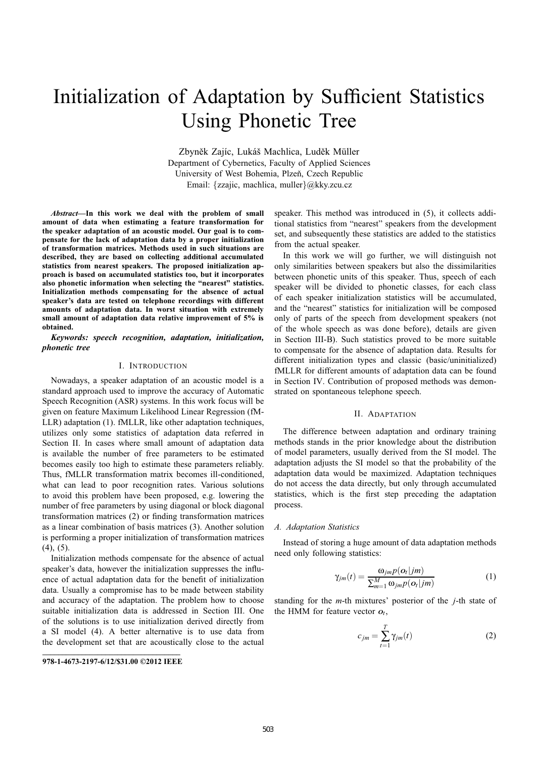# Initialization of Adaptation by Sufficient Statistics Using Phonetic Tree

Zbyněk Zajíc, Lukáš Machlica, Luděk Müller Department of Cybernetics, Faculty of Applied Sciences University of West Bohemia, Plzeň, Czech Republic Email: {zzajic, machlica, muller}@kky.zcu.cz

*Abstract***—In this work we deal with the problem of small amount of data when estimating a feature transformation for the speaker adaptation of an acoustic model. Our goal is to compensate for the lack of adaptation data by a proper initialization of transformation matrices. Methods used in such situations are described, they are based on collecting additional accumulated statistics from nearest speakers. The proposed initialization approach is based on accumulated statistics too, but it incorporates also phonetic information when selecting the "nearest" statistics. Initialization methods compensating for the absence of actual speaker's data are tested on telephone recordings with different amounts of adaptation data. In worst situation with extremely small amount of adaptation data relative improvement of 5% is obtained.**

*Keywords: speech recognition, adaptation, initialization, phonetic tree*

#### I. INTRODUCTION

Nowadays, a speaker adaptation of an acoustic model is a standard approach used to improve the accuracy of Automatic Speech Recognition (ASR) systems. In this work focus will be given on feature Maximum Likelihood Linear Regression (fM-LLR) adaptation (1). fMLLR, like other adaptation techniques, utilizes only some statistics of adaptation data referred in Section II. In cases where small amount of adaptation data is available the number of free parameters to be estimated becomes easily too high to estimate these parameters reliably. Thus, fMLLR transformation matrix becomes ill-conditioned, what can lead to poor recognition rates. Various solutions to avoid this problem have been proposed, e.g. lowering the number of free parameters by using diagonal or block diagonal transformation matrices (2) or finding transformation matrices as a linear combination of basis matrices (3). Another solution is performing a proper initialization of transformation matrices  $(4)$ ,  $(5)$ .

Initialization methods compensate for the absence of actual speaker's data, however the initialization suppresses the influence of actual adaptation data for the benefit of initialization data. Usually a compromise has to be made between stability and accuracy of the adaptation. The problem how to choose suitable initialization data is addressed in Section III. One of the solutions is to use initialization derived directly from a SI model (4). A better alternative is to use data from the development set that are acoustically close to the actual

**\_\_\_\_\_\_\_\_\_\_\_\_\_\_\_\_\_\_\_\_\_\_\_\_\_\_\_\_\_\_\_\_\_\_\_ 978-1-4673-2197-6/12/\$31.00 ©2012 IEEE**  speaker. This method was introduced in (5), it collects additional statistics from "nearest" speakers from the development set, and subsequently these statistics are added to the statistics from the actual speaker.

In this work we will go further, we will distinguish not only similarities between speakers but also the dissimilarities between phonetic units of this speaker. Thus, speech of each speaker will be divided to phonetic classes, for each class of each speaker initialization statistics will be accumulated, and the "nearest" statistics for initialization will be composed only of parts of the speech from development speakers (not of the whole speech as was done before), details are given in Section III-B). Such statistics proved to be more suitable to compensate for the absence of adaptation data. Results for different initialization types and classic (basic/uninitialized) fMLLR for different amounts of adaptation data can be found in Section IV. Contribution of proposed methods was demonstrated on spontaneous telephone speech.

### II. ADAPTATION

The difference between adaptation and ordinary training methods stands in the prior knowledge about the distribution of model parameters, usually derived from the SI model. The adaptation adjusts the SI model so that the probability of the adaptation data would be maximized. Adaptation techniques do not access the data directly, but only through accumulated statistics, which is the first step preceding the adaptation process.

#### *A. Adaptation Statistics*

Instead of storing a huge amount of data adaptation methods need only following statistics:

$$
\gamma_{jm}(t) = \frac{\omega_{jm} p(o_t | jm)}{\sum_{m=1}^{M} \omega_{jm} p(o_t | jm)}\tag{1}
$$

standing for the *m*-th mixtures' posterior of the *j*-th state of the HMM for feature vector  $o_t$ ,

$$
c_{jm} = \sum_{t=1}^{T} \gamma_{jm}(t) \tag{2}
$$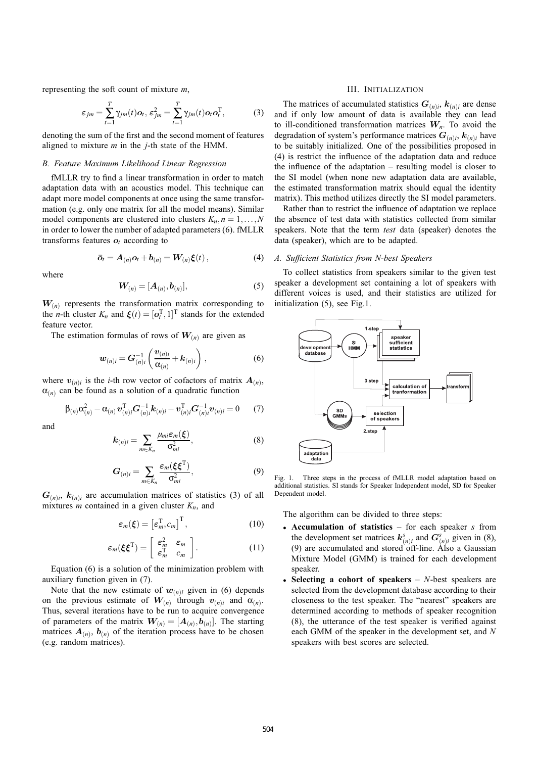representing the soft count of mixture *m*,

$$
\varepsilon_{jm} = \sum_{t=1}^{T} \gamma_{jm}(t) \mathbf{o}_t, \varepsilon_{jm}^2 = \sum_{t=1}^{T} \gamma_{jm}(t) \mathbf{o}_t \mathbf{o}_t^{\mathrm{T}}, \tag{3}
$$

denoting the sum of the first and the second moment of features aligned to mixture *m* in the *j*-th state of the HMM.

# *B. Feature Maximum Likelihood Linear Regression*

fMLLR try to find a linear transformation in order to match adaptation data with an acoustics model. This technique can adapt more model components at once using the same transformation (e.g. only one matrix for all the model means). Similar model components are clustered into clusters  $K_n, n = 1, \ldots, N$ in order to lower the number of adapted parameters (6). fMLLR transforms features  $o_t$  according to

$$
\bar{\boldsymbol{o}}_t = \boldsymbol{A}_{(n)} \boldsymbol{o}_t + \boldsymbol{b}_{(n)} = \boldsymbol{W}_{(n)} \boldsymbol{\xi}(t) ,
$$
 (4)

where

$$
\boldsymbol{W}_{(n)} = [\boldsymbol{A}_{(n)}, \boldsymbol{b}_{(n)}],\tag{5}
$$

 $W_{(n)}$  represents the transformation matrix corresponding to the *n*-th cluster  $K_n$  and  $\boldsymbol{\xi}(t) = [\boldsymbol{o}_t^T, 1]^T$  stands for the extended feature vector.

The estimation formulas of rows of  $W_{(n)}$  are given as

$$
\boldsymbol{w}_{(n)i} = \boldsymbol{G}_{(n)i}^{-1} \left( \frac{\boldsymbol{v}_{(n)i}}{\alpha_{(n)}} + \boldsymbol{k}_{(n)i} \right), \qquad (6)
$$

where  $v_{(n)i}$  is the *i*-th row vector of cofactors of matrix  $A_{(n)}$ ,  $\alpha_{(n)}$  can be found as a solution of a quadratic function

$$
\beta_{(n)} \alpha_{(n)}^2 - \alpha_{(n)} \mathbf{v}_{(n)i}^{\mathrm{T}} \mathbf{G}_{(n)i}^{-1} \mathbf{k}_{(n)i} - \mathbf{v}_{(n)i}^{\mathrm{T}} \mathbf{G}_{(n)i}^{-1} \mathbf{v}_{(n)i} = 0 \qquad (7)
$$

and

$$
\boldsymbol{k}_{(n)i} = \sum_{m \in K_n} \frac{\mu_{mi} \varepsilon_m(\boldsymbol{\xi})}{\sigma_{mi}^2},\tag{8}
$$

$$
G_{(n)i} = \sum_{m \in K_n} \frac{\varepsilon_m (\xi \xi^{\mathrm{T}})}{\sigma_{mi}^2},\tag{9}
$$

 $G_{(n)i}$ ,  $k_{(n)i}$  are accumulation matrices of statistics (3) of all mixtures  $m$  contained in a given cluster  $K_n$ , and

$$
\varepsilon_m(\xi) = \left[\varepsilon_m^{\mathrm{T}}, c_m\right]^{\mathrm{T}},\tag{10}
$$

$$
\varepsilon_m(\xi\xi^{\mathrm{T}})=\left[\begin{array}{cc} \varepsilon_m^2 & \varepsilon_m \\ \varepsilon_m^{\mathrm{T}} & c_m \end{array}\right].\tag{11}
$$

Equation (6) is a solution of the minimization problem with auxiliary function given in (7).

Note that the new estimate of  $w_{(n)i}$  given in (6) depends on the previous estimate of  $W_{(n)}$  through  $v_{(n)i}$  and  $\alpha_{(n)}$ . Thus, several iterations have to be run to acquire convergence of parameters of the matrix  $W_{(n)} = [A_{(n)}, b_{(n)}].$  The starting matrices  $A_{(n)}$ ,  $b_{(n)}$  of the iteration process have to be chosen (e.g. random matrices).

#### III. INITIALIZATION

The matrices of accumulated statistics  $G_{(n)i}$ ,  $k_{(n)i}$  are dense and if only low amount of data is available they can lead to ill-conditioned transformation matrices  $W_n$ . To avoid the degradation of system's performance matrices  $G_{(n)i}$ ,  $k_{(n)i}$  have to be suitably initialized. One of the possibilities proposed in (4) is restrict the influence of the adaptation data and reduce the influence of the adaptation – resulting model is closer to the SI model (when none new adaptation data are available, the estimated transformation matrix should equal the identity matrix). This method utilizes directly the SI model parameters.

Rather than to restrict the influence of adaptation we replace the absence of test data with statistics collected from similar speakers. Note that the term *test* data (speaker) denotes the data (speaker), which are to be adapted.

## *A. Sufficient Statistics from N-best Speakers*

To collect statistics from speakers similar to the given test speaker a development set containing a lot of speakers with different voices is used, and their statistics are utilized for initialization (5), see Fig.1.



Fig. 1. Three steps in the process of fMLLR model adaptation based on additional statistics. SI stands for Speaker Independent model, SD for Speaker Dependent model.

The algorithm can be divided to three steps:

- **Accumulation of statistics** for each speaker *s* from the development set matrices  $\mathbf{k}_{(n)i}^s$  and  $\mathbf{G}_{(n)i}^s$  given in (8), (9) are accumulated and stored off-line. Also a Gaussian Mixture Model (GMM) is trained for each development speaker.
- **Selecting a cohort of speakers**  $N$ -best speakers are selected from the development database according to their closeness to the test speaker. The "nearest" speakers are determined according to methods of speaker recognition (8), the utterance of the test speaker is verified against each GMM of the speaker in the development set, and *N* speakers with best scores are selected.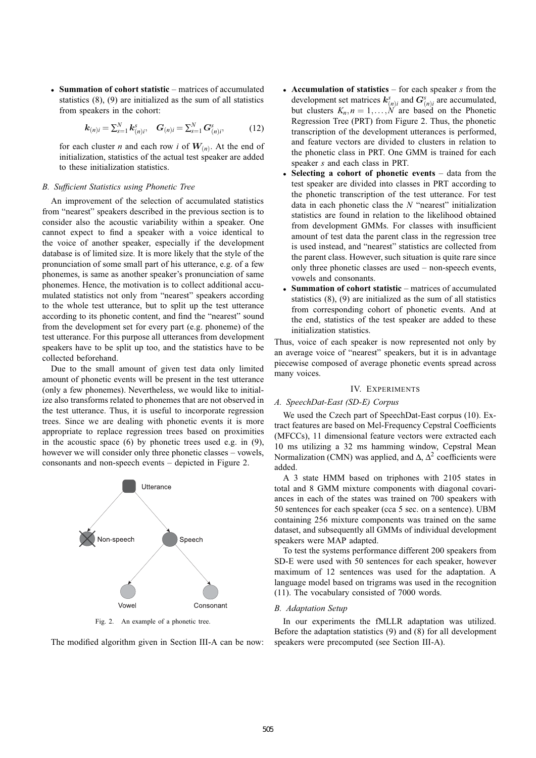• **Summation of cohort statistic** – matrices of accumulated statistics (8), (9) are initialized as the sum of all statistics from speakers in the cohort:

$$
\mathbf{k}_{(n)i} = \sum_{s=1}^{N} \mathbf{k}_{(n)i}^{s}, \quad \mathbf{G}_{(n)i} = \sum_{s=1}^{N} \mathbf{G}_{(n)i}^{s}, \quad (12)
$$

for each cluster *n* and each row *i* of  $W_{(n)}$ . At the end of initialization, statistics of the actual test speaker are added to these initialization statistics.

# *B. Sufficient Statistics using Phonetic Tree*

An improvement of the selection of accumulated statistics from "nearest" speakers described in the previous section is to consider also the acoustic variability within a speaker. One cannot expect to find a speaker with a voice identical to the voice of another speaker, especially if the development database is of limited size. It is more likely that the style of the pronunciation of some small part of his utterance, e.g. of a few phonemes, is same as another speaker's pronunciation of same phonemes. Hence, the motivation is to collect additional accumulated statistics not only from "nearest" speakers according to the whole test utterance, but to split up the test utterance according to its phonetic content, and find the "nearest" sound from the development set for every part (e.g. phoneme) of the test utterance. For this purpose all utterances from development speakers have to be split up too, and the statistics have to be collected beforehand.

Due to the small amount of given test data only limited amount of phonetic events will be present in the test utterance (only a few phonemes). Nevertheless, we would like to initialize also transforms related to phonemes that are not observed in the test utterance. Thus, it is useful to incorporate regression trees. Since we are dealing with phonetic events it is more appropriate to replace regression trees based on proximities in the acoustic space (6) by phonetic trees used e.g. in (9), however we will consider only three phonetic classes – vowels, consonants and non-speech events – depicted in Figure 2.



Fig. 2. An example of a phonetic tree.

The modified algorithm given in Section III-A can be now:

- **Accumulation of statistics** for each speaker *s* from the development set matrices  $k^s_{(n)i}$  and  $G^s_{(n)i}$  are accumulated, but clusters  $K_n$ ,  $n = 1, ..., N$  are based on the Phonetic Regression Tree (PRT) from Figure 2. Thus, the phonetic transcription of the development utterances is performed, and feature vectors are divided to clusters in relation to the phonetic class in PRT. One GMM is trained for each speaker *s* and each class in PRT.
- **Selecting a cohort of phonetic events** data from the test speaker are divided into classes in PRT according to the phonetic transcription of the test utterance. For test data in each phonetic class the *N* "nearest" initialization statistics are found in relation to the likelihood obtained from development GMMs. For classes with insufficient amount of test data the parent class in the regression tree is used instead, and "nearest" statistics are collected from the parent class. However, such situation is quite rare since only three phonetic classes are used – non-speech events, vowels and consonants.
- **Summation of cohort statistic** matrices of accumulated statistics (8), (9) are initialized as the sum of all statistics from corresponding cohort of phonetic events. And at the end, statistics of the test speaker are added to these initialization statistics.

Thus, voice of each speaker is now represented not only by an average voice of "nearest" speakers, but it is in advantage piecewise composed of average phonetic events spread across many voices.

# IV. EXPERIMENTS

# *A. SpeechDat-East (SD-E) Corpus*

We used the Czech part of SpeechDat-East corpus (10). Extract features are based on Mel-Frequency Cepstral Coefficients (MFCCs), 11 dimensional feature vectors were extracted each 10 ms utilizing a 32 ms hamming window, Cepstral Mean Normalization (CMN) was applied, and  $\Delta$ ,  $\Delta^2$  coefficients were added.

A 3 state HMM based on triphones with 2105 states in total and 8 GMM mixture components with diagonal covariances in each of the states was trained on 700 speakers with 50 sentences for each speaker (cca 5 sec. on a sentence). UBM containing 256 mixture components was trained on the same dataset, and subsequently all GMMs of individual development speakers were MAP adapted.

To test the systems performance different 200 speakers from SD-E were used with 50 sentences for each speaker, however maximum of 12 sentences was used for the adaptation. A language model based on trigrams was used in the recognition (11). The vocabulary consisted of 7000 words.

#### *B. Adaptation Setup*

In our experiments the fMLLR adaptation was utilized. Before the adaptation statistics (9) and (8) for all development speakers were precomputed (see Section III-A).